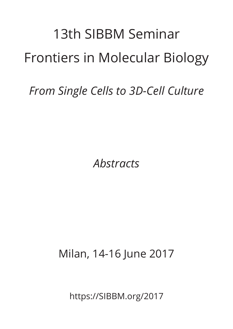## 13th SIBBM Seminar Frontiers in Molecular Biology

*From Single Cells to 3D-Cell Culture*

*Abstracts*

Milan, 14-16 June 2017

https://SIBBM.org/2017